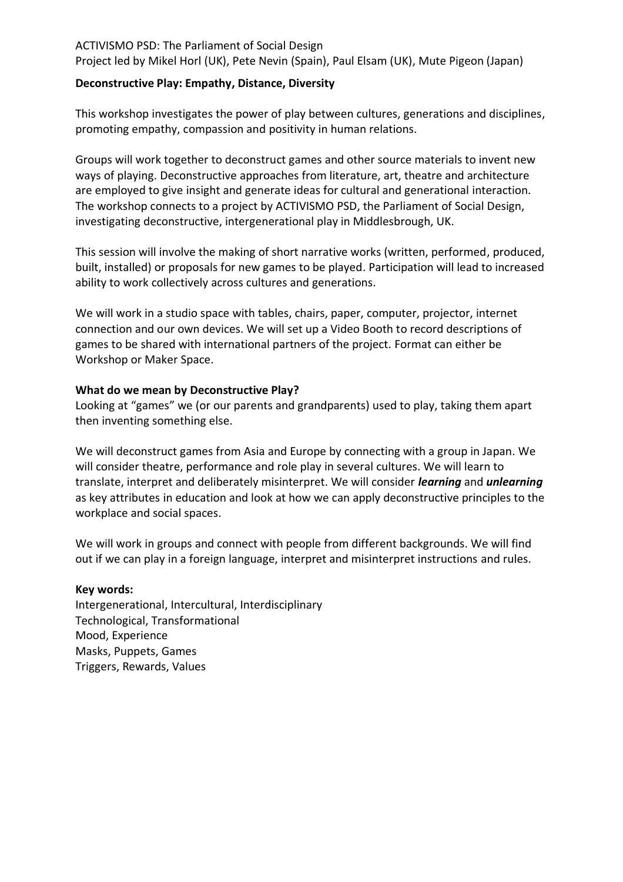## **Deconstructive Play: Empathy, Distance, Diversity**

This workshop investigates the power of play between cultures, generations and disciplines, promoting empathy, compassion and positivity in human relations.

Groups will work together to deconstruct games and other source materials to invent new ways of playing. Deconstructive approaches from literature, art, theatre and architecture are employed to give insight and generate ideas for cultural and generational interaction. The workshop connects to a project by ACTIVISMO PSD, the Parliament of Social Design, investigating deconstructive, intergenerational play in Middlesbrough, UK.

This session will involve the making of short narrative works (written, performed, produced, built, installed) or proposals for new games to be played. Participation will lead to increased ability to work collectively across cultures and generations.

We will work in a studio space with tables, chairs, paper, computer, projector, internet connection and our own devices. We will set up a Video Booth to record descriptions of games to be shared with international partners of the project. Format can either be Workshop or Maker Space.

## **What do we mean by Deconstructive Play?**

Looking at "games" we (or our parents and grandparents) used to play, taking them apart then inventing something else.

We will deconstruct games from Asia and Europe by connecting with a group in Japan. We will consider theatre, performance and role play in several cultures. We will learn to translate, interpret and deliberately misinterpret. We will consider *learning* and *unlearning* as key attributes in education and look at how we can apply deconstructive principles to the workplace and social spaces.

We will work in groups and connect with people from different backgrounds. We will find out if we can play in a foreign language, interpret and misinterpret instructions and rules.

## **Key words:**

Intergenerational, Intercultural, Interdisciplinary Technological, Transformational Mood, Experience Masks, Puppets, Games Triggers, Rewards, Values